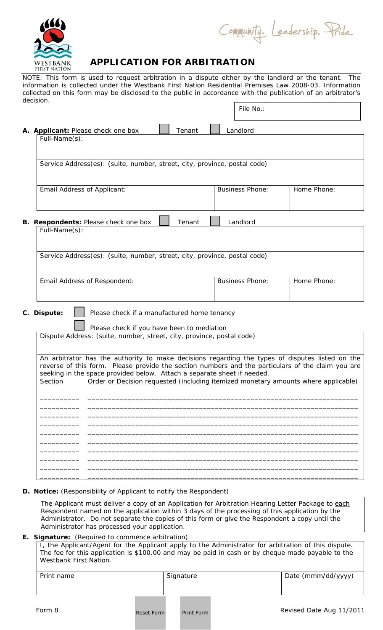

Community. Leadership. Pride.

File No.:

## **WESTBANK APPLICATION FOR ARBITRATION**

NOTE: This form is used to request arbitration in a dispute either by the landlord or the tenant. The information is collected under the Westbank First Nation Residential Premises Law 2008-03. Information collected on this form may be disclosed to the public in accordance with the publication of an arbitrator's decision.

|                                                            | A. Applicant: Please check one box                                                                                                                                                                                                                                              | Tenant | Landlord               |                                                                                    |  |  |
|------------------------------------------------------------|---------------------------------------------------------------------------------------------------------------------------------------------------------------------------------------------------------------------------------------------------------------------------------|--------|------------------------|------------------------------------------------------------------------------------|--|--|
|                                                            | Full-Name(s):                                                                                                                                                                                                                                                                   |        |                        |                                                                                    |  |  |
|                                                            |                                                                                                                                                                                                                                                                                 |        |                        |                                                                                    |  |  |
|                                                            |                                                                                                                                                                                                                                                                                 |        |                        |                                                                                    |  |  |
|                                                            | Service Address(es): (suite, number, street, city, province, postal code)                                                                                                                                                                                                       |        |                        |                                                                                    |  |  |
|                                                            |                                                                                                                                                                                                                                                                                 |        |                        |                                                                                    |  |  |
|                                                            | Email Address of Applicant:                                                                                                                                                                                                                                                     |        | <b>Business Phone:</b> | Home Phone:                                                                        |  |  |
|                                                            |                                                                                                                                                                                                                                                                                 |        |                        |                                                                                    |  |  |
|                                                            |                                                                                                                                                                                                                                                                                 |        |                        |                                                                                    |  |  |
|                                                            |                                                                                                                                                                                                                                                                                 |        |                        |                                                                                    |  |  |
|                                                            | B. Respondents: Please check one box                                                                                                                                                                                                                                            | Tenant | Landlord               |                                                                                    |  |  |
|                                                            | Full-Name(s):                                                                                                                                                                                                                                                                   |        |                        |                                                                                    |  |  |
|                                                            |                                                                                                                                                                                                                                                                                 |        |                        |                                                                                    |  |  |
|                                                            | Service Address(es): (suite, number, street, city, province, postal code)                                                                                                                                                                                                       |        |                        |                                                                                    |  |  |
|                                                            |                                                                                                                                                                                                                                                                                 |        |                        |                                                                                    |  |  |
|                                                            |                                                                                                                                                                                                                                                                                 |        |                        |                                                                                    |  |  |
|                                                            | Email Address of Respondent:                                                                                                                                                                                                                                                    |        | <b>Business Phone:</b> | Home Phone:                                                                        |  |  |
|                                                            |                                                                                                                                                                                                                                                                                 |        |                        |                                                                                    |  |  |
|                                                            |                                                                                                                                                                                                                                                                                 |        |                        |                                                                                    |  |  |
|                                                            |                                                                                                                                                                                                                                                                                 |        |                        |                                                                                    |  |  |
| C. Dispute:<br>Please check if a manufactured home tenancy |                                                                                                                                                                                                                                                                                 |        |                        |                                                                                    |  |  |
|                                                            |                                                                                                                                                                                                                                                                                 |        |                        |                                                                                    |  |  |
|                                                            | Please check if you have been to mediation<br>Dispute Address: (suite, number, street, city, province, postal code)                                                                                                                                                             |        |                        |                                                                                    |  |  |
|                                                            |                                                                                                                                                                                                                                                                                 |        |                        |                                                                                    |  |  |
|                                                            | An arbitrator has the authority to make decisions regarding the types of disputes listed on the<br>reverse of this form. Please provide the section numbers and the particulars of the claim you are<br>seeking in the space provided below. Attach a separate sheet if needed. |        |                        |                                                                                    |  |  |
|                                                            |                                                                                                                                                                                                                                                                                 |        |                        |                                                                                    |  |  |
|                                                            |                                                                                                                                                                                                                                                                                 |        |                        |                                                                                    |  |  |
|                                                            | Section                                                                                                                                                                                                                                                                         |        |                        | Order or Decision requested (including itemized monetary amounts where applicable) |  |  |
|                                                            |                                                                                                                                                                                                                                                                                 |        |                        |                                                                                    |  |  |
|                                                            |                                                                                                                                                                                                                                                                                 |        |                        |                                                                                    |  |  |
|                                                            |                                                                                                                                                                                                                                                                                 |        |                        |                                                                                    |  |  |
|                                                            |                                                                                                                                                                                                                                                                                 |        |                        |                                                                                    |  |  |
|                                                            |                                                                                                                                                                                                                                                                                 |        |                        |                                                                                    |  |  |
|                                                            |                                                                                                                                                                                                                                                                                 |        |                        |                                                                                    |  |  |
|                                                            |                                                                                                                                                                                                                                                                                 |        |                        |                                                                                    |  |  |
|                                                            |                                                                                                                                                                                                                                                                                 |        |                        |                                                                                    |  |  |
|                                                            |                                                                                                                                                                                                                                                                                 |        |                        |                                                                                    |  |  |
|                                                            |                                                                                                                                                                                                                                                                                 |        |                        |                                                                                    |  |  |
|                                                            |                                                                                                                                                                                                                                                                                 |        |                        |                                                                                    |  |  |

## **D. Notice:** (Responsibility of Applicant to notify the Respondent)

The Applicant must deliver a copy of an Application for Arbitration Hearing Letter Package to each Respondent named on the application within 3 days of the processing of this application by the Administrator. Do not separate the copies of this form or give the Respondent a copy until the Administrator has processed your application.

## **E. Signature:** (Required to commence arbitration)

I, the Applicant/Agent for the Applicant apply to the Administrator for arbitration of this dispute. The fee for this application is \$100.00 and may be paid in cash or by cheque made payable to the Westbank First Nation.

| Print name | Signature | Date (mmm/dd/yyyy) |
|------------|-----------|--------------------|
|            |           |                    |
|            |           |                    |
|            |           |                    |